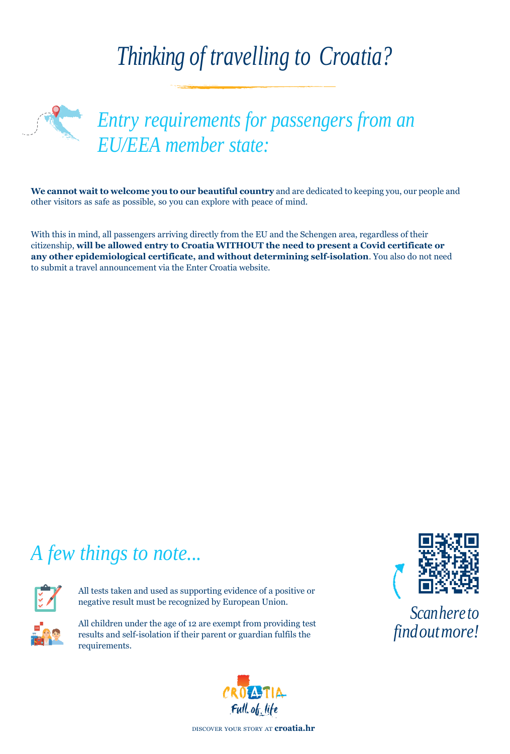## *Thinking of travelling to Croatia?*



*Entry requirements for passengers from an EU/EEA member state:*

**We cannot wait to welcome you to our beautiful country** and are dedicated to keeping you, our people and other visitors as safe as possible, so you can explore with peace of mind.

With this in mind, all passengers arriving directly from the EU and the Schengen area, regardless of their citizenship, **will be allowed entry to Croatia WITHOUT the need to present a Covid certificate or any other epidemiological certificate, and without determining self-isolation**. You also do not need to submit a travel announcement via the Enter Croatia website.

## *A few things to note...*



All tests taken and used as supporting evidence of a positive or negative result must be recognized by European Union.



All children under the age of 12 are exempt from providing test results and self-isolation if their parent or guardian fulfils the find *Out more!* requirements.





*Scanhereto*